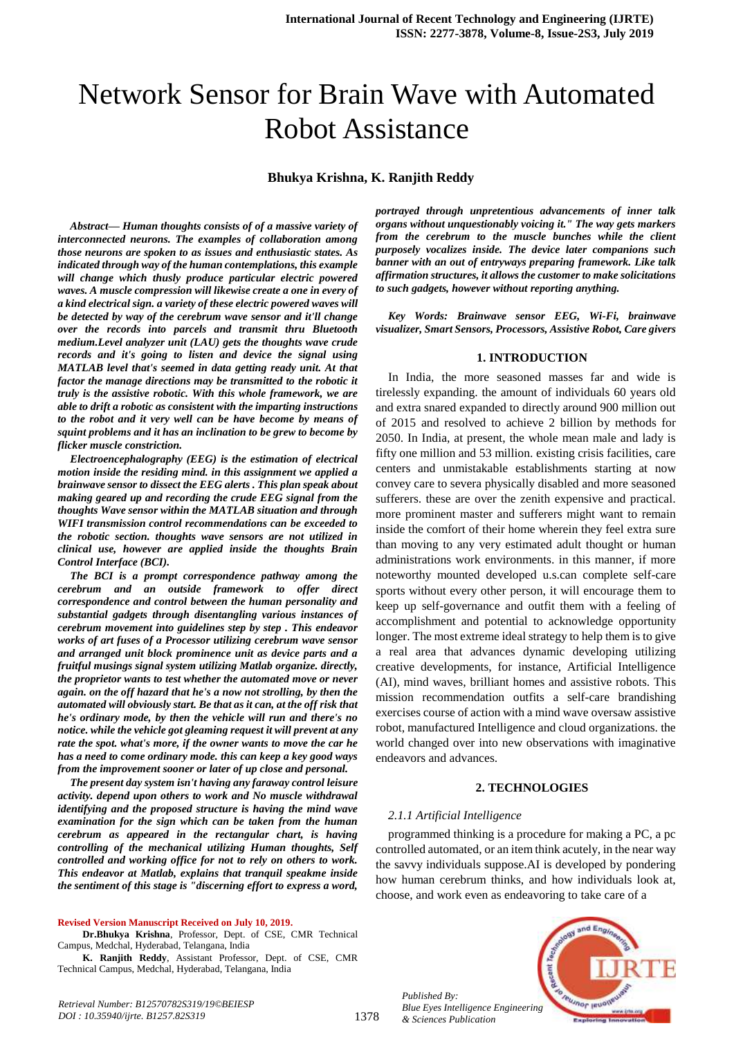# Network Sensor for Brain Wave with Automated Robot Assistance

**Bhukya Krishna, K. Ranjith Reddy**

*Abstract***—** *Human thoughts consists of of a massive variety of interconnected neurons. The examples of collaboration among those neurons are spoken to as issues and enthusiastic states. As indicated through way of the human contemplations, this example will change which thusly produce particular electric powered waves. A muscle compression will likewise create a one in every of a kind electrical sign. a variety of these electric powered waves will be detected by way of the cerebrum wave sensor and it'll change over the records into parcels and transmit thru Bluetooth medium.Level analyzer unit (LAU) gets the thoughts wave crude records and it's going to listen and device the signal using MATLAB level that's seemed in data getting ready unit. At that factor the manage directions may be transmitted to the robotic it truly is the assistive robotic. With this whole framework, we are able to drift a robotic as consistent with the imparting instructions to the robot and it very well can be have become by means of squint problems and it has an inclination to be grew to become by flicker muscle constriction.*

*Electroencephalography (EEG) is the estimation of electrical motion inside the residing mind. in this assignment we applied a brainwave sensor to dissect the EEG alerts . This plan speak about making geared up and recording the crude EEG signal from the thoughts Wave sensor within the MATLAB situation and through WIFI transmission control recommendations can be exceeded to the robotic section. thoughts wave sensors are not utilized in clinical use, however are applied inside the thoughts Brain Control Interface (BCI).*

*The BCI is a prompt correspondence pathway among the cerebrum and an outside framework to offer direct correspondence and control between the human personality and substantial gadgets through disentangling various instances of cerebrum movement into guidelines step by step . This endeavor works of art fuses of a Processor utilizing cerebrum wave sensor and arranged unit block prominence unit as device parts and a fruitful musings signal system utilizing Matlab organize. directly, the proprietor wants to test whether the automated move or never again. on the off hazard that he's a now not strolling, by then the automated will obviously start. Be that as it can, at the off risk that he's ordinary mode, by then the vehicle will run and there's no notice. while the vehicle got gleaming request it will prevent at any rate the spot. what's more, if the owner wants to move the car he has a need to come ordinary mode. this can keep a key good ways from the improvement sooner or later of up close and personal.* 

*The present day system isn't having any faraway control leisure activity. depend upon others to work and No muscle withdrawal identifying and the proposed structure is having the mind wave examination for the sign which can be taken from the human cerebrum as appeared in the rectangular chart, is having controlling of the mechanical utilizing Human thoughts, Self controlled and working office for not to rely on others to work. This endeavor at Matlab, explains that tranquil speakme inside the sentiment of this stage is "discerning effort to express a word,* 

**Revised Version Manuscript Received on July 10, 2019.**

**Dr.Bhukya Krishna**, Professor, Dept. of CSE, CMR Technical Campus, Medchal, Hyderabad, Telangana, India

**K. Ranjith Reddy**, Assistant Professor, Dept. of CSE, CMR Technical Campus, Medchal, Hyderabad, Telangana, India

*portrayed through unpretentious advancements of inner talk organs without unquestionably voicing it." The way gets markers from the cerebrum to the muscle bunches while the client purposely vocalizes inside. The device later companions such banner with an out of entryways preparing framework. Like talk affirmation structures, it allows the customer to make solicitations to such gadgets, however without reporting anything.*

*Key Words: Brainwave sensor EEG, Wi-Fi, brainwave visualizer, Smart Sensors, Processors, Assistive Robot, Care givers*

#### **1. INTRODUCTION**

In India, the more seasoned masses far and wide is tirelessly expanding. the amount of individuals 60 years old and extra snared expanded to directly around 900 million out of 2015 and resolved to achieve 2 billion by methods for 2050. In India, at present, the whole mean male and lady is fifty one million and 53 million. existing crisis facilities, care centers and unmistakable establishments starting at now convey care to severa physically disabled and more seasoned sufferers. these are over the zenith expensive and practical. more prominent master and sufferers might want to remain inside the comfort of their home wherein they feel extra sure than moving to any very estimated adult thought or human administrations work environments. in this manner, if more noteworthy mounted developed u.s.can complete self-care sports without every other person, it will encourage them to keep up self-governance and outfit them with a feeling of accomplishment and potential to acknowledge opportunity longer. The most extreme ideal strategy to help them is to give a real area that advances dynamic developing utilizing creative developments, for instance, Artificial Intelligence (AI), mind waves, brilliant homes and assistive robots. This mission recommendation outfits a self-care brandishing exercises course of action with a mind wave oversaw assistive robot, manufactured Intelligence and cloud organizations. the world changed over into new observations with imaginative endeavors and advances.

# **2. TECHNOLOGIES**

#### *2.1.1 Artificial Intelligence*

programmed thinking is a procedure for making a PC, a pc controlled automated, or an item think acutely, in the near way the savvy individuals suppose.AI is developed by pondering how human cerebrum thinks, and how individuals look at, choose, and work even as endeavoring to take care of a



*Published By: Blue Eyes Intelligence Engineering & Sciences Publication*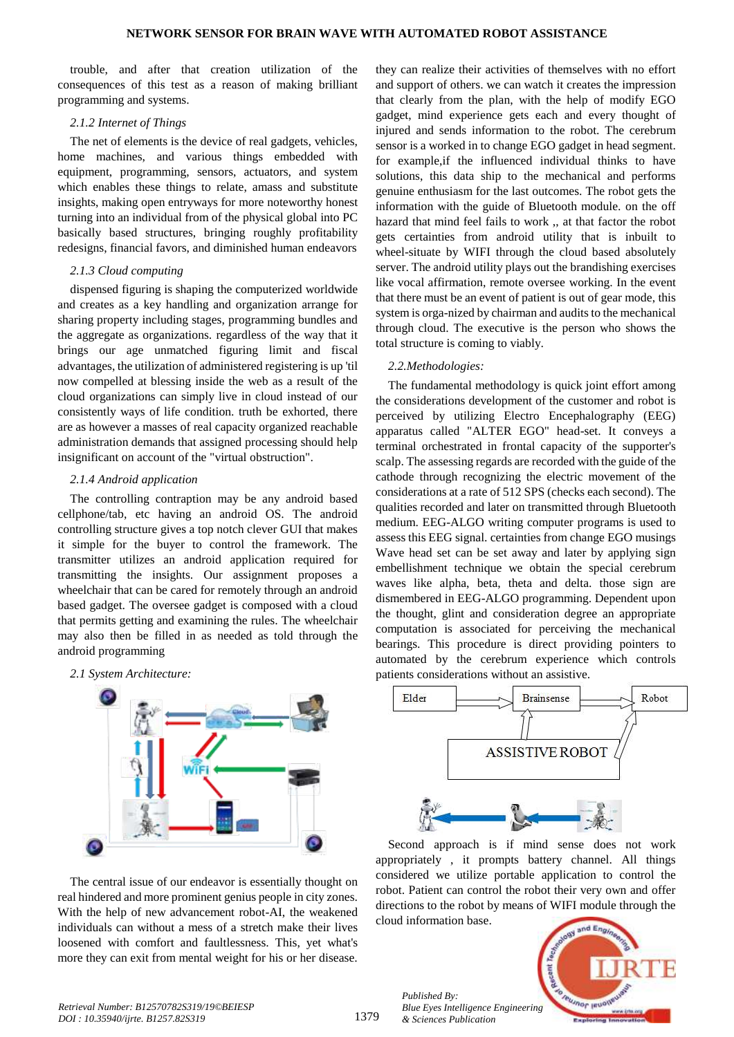trouble, and after that creation utilization of the consequences of this test as a reason of making brilliant programming and systems.

# *2.1.2 Internet of Things*

The net of elements is the device of real gadgets, vehicles, home machines, and various things embedded with equipment, programming, sensors, actuators, and system which enables these things to relate, amass and substitute insights, making open entryways for more noteworthy honest turning into an individual from of the physical global into PC basically based structures, bringing roughly profitability redesigns, financial favors, and diminished human endeavors

# *2.1.3 Cloud computing*

dispensed figuring is shaping the computerized worldwide and creates as a key handling and organization arrange for sharing property including stages, programming bundles and the aggregate as organizations. regardless of the way that it brings our age unmatched figuring limit and fiscal advantages, the utilization of administered registering is up 'til now compelled at blessing inside the web as a result of the cloud organizations can simply live in cloud instead of our consistently ways of life condition. truth be exhorted, there are as however a masses of real capacity organized reachable administration demands that assigned processing should help insignificant on account of the "virtual obstruction".

# *2.1.4 Android application*

The controlling contraption may be any android based cellphone/tab, etc having an android OS. The android controlling structure gives a top notch clever GUI that makes it simple for the buyer to control the framework. The transmitter utilizes an android application required for transmitting the insights. Our assignment proposes a wheelchair that can be cared for remotely through an android based gadget. The oversee gadget is composed with a cloud that permits getting and examining the rules. The wheelchair may also then be filled in as needed as told through the android programming

# *2.1 System Architecture:*



The central issue of our endeavor is essentially thought on real hindered and more prominent genius people in city zones. With the help of new advancement robot-AI, the weakened individuals can without a mess of a stretch make their lives loosened with comfort and faultlessness. This, yet what's more they can exit from mental weight for his or her disease.

they can realize their activities of themselves with no effort and support of others. we can watch it creates the impression that clearly from the plan, with the help of modify EGO gadget, mind experience gets each and every thought of injured and sends information to the robot. The cerebrum sensor is a worked in to change EGO gadget in head segment. for example,if the influenced individual thinks to have solutions, this data ship to the mechanical and performs genuine enthusiasm for the last outcomes. The robot gets the information with the guide of Bluetooth module. on the off hazard that mind feel fails to work ,, at that factor the robot gets certainties from android utility that is inbuilt to wheel-situate by WIFI through the cloud based absolutely server. The android utility plays out the brandishing exercises like vocal affirmation, remote oversee working. In the event that there must be an event of patient is out of gear mode, this system is orga-nized by chairman and audits to the mechanical through cloud. The executive is the person who shows the total structure is coming to viably.

# *2.2.Methodologies:*

The fundamental methodology is quick joint effort among the considerations development of the customer and robot is perceived by utilizing Electro Encephalography (EEG) apparatus called "ALTER EGO" head-set. It conveys a terminal orchestrated in frontal capacity of the supporter's scalp. The assessing regards are recorded with the guide of the cathode through recognizing the electric movement of the considerations at a rate of 512 SPS (checks each second). The qualities recorded and later on transmitted through Bluetooth medium. EEG-ALGO writing computer programs is used to assess this EEG signal. certainties from change EGO musings Wave head set can be set away and later by applying sign embellishment technique we obtain the special cerebrum waves like alpha, beta, theta and delta. those sign are dismembered in EEG-ALGO programming. Dependent upon the thought, glint and consideration degree an appropriate computation is associated for perceiving the mechanical bearings. This procedure is direct providing pointers to automated by the cerebrum experience which controls patients considerations without an assistive.



Second approach is if mind sense does not work appropriately , it prompts battery channel. All things considered we utilize portable application to control the robot. Patient can control the robot their very own and offer directions to the robot by means of WIFI module through the cloud information base.



*Retrieval Number: B12570782S319/19©BEIESP DOI : 10.35940/ijrte. B1257.82S319*

*Published By:*

*& Sciences Publication*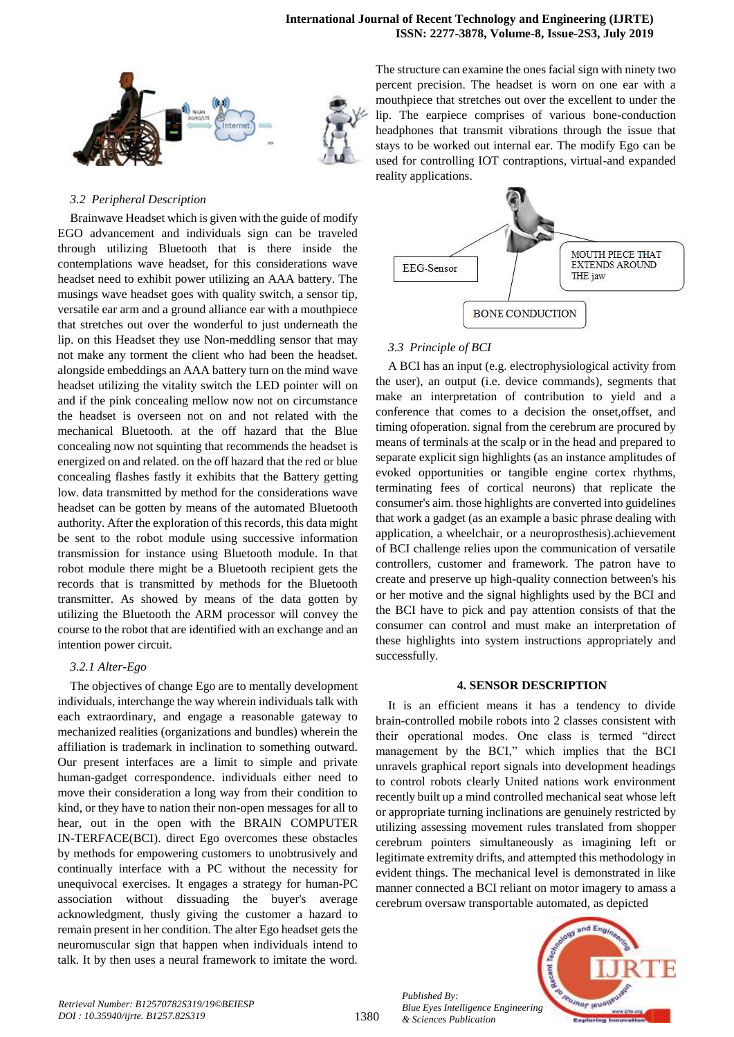

# *3.2 Peripheral Description*

Brainwave Headset which is given with the guide of modify EGO advancement and individuals sign can be traveled through utilizing Bluetooth that is there inside the contemplations wave headset, for this considerations wave headset need to exhibit power utilizing an AAA battery. The musings wave headset goes with quality switch, a sensor tip, versatile ear arm and a ground alliance ear with a mouthpiece that stretches out over the wonderful to just underneath the lip. on this Headset they use Non-meddling sensor that may not make any torment the client who had been the headset. alongside embeddings an AAA battery turn on the mind wave headset utilizing the vitality switch the LED pointer will on and if the pink concealing mellow now not on circumstance the headset is overseen not on and not related with the mechanical Bluetooth. at the off hazard that the Blue concealing now not squinting that recommends the headset is energized on and related. on the off hazard that the red or blue concealing flashes fastly it exhibits that the Battery getting low. data transmitted by method for the considerations wave headset can be gotten by means of the automated Bluetooth authority. After the exploration of this records, this data might be sent to the robot module using successive information transmission for instance using Bluetooth module. In that robot module there might be a Bluetooth recipient gets the records that is transmitted by methods for the Bluetooth transmitter. As showed by means of the data gotten by utilizing the Bluetooth the ARM processor will convey the course to the robot that are identified with an exchange and an intention power circuit.

#### *3.2.1 Alter-Ego*

The objectives of change Ego are to mentally development individuals, interchange the way wherein individuals talk with each extraordinary, and engage a reasonable gateway to mechanized realities (organizations and bundles) wherein the affiliation is trademark in inclination to something outward. Our present interfaces are a limit to simple and private human-gadget correspondence. individuals either need to move their consideration a long way from their condition to kind, or they have to nation their non-open messages for all to hear, out in the open with the BRAIN COMPUTER IN-TERFACE(BCI). direct Ego overcomes these obstacles by methods for empowering customers to unobtrusively and continually interface with a PC without the necessity for unequivocal exercises. It engages a strategy for human-PC association without dissuading the buyer's average acknowledgment, thusly giving the customer a hazard to remain present in her condition. The alter Ego headset gets the neuromuscular sign that happen when individuals intend to talk. It by then uses a neural framework to imitate the word.

The structure can examine the ones facial sign with ninety two percent precision. The headset is worn on one ear with a mouthpiece that stretches out over the excellent to under the lip. The earpiece comprises of various bone-conduction headphones that transmit vibrations through the issue that stays to be worked out internal ear. The modify Ego can be used for controlling IOT contraptions, virtual-and expanded reality applications.



# *3.3 Principle of BCI*

A BCI has an input (e.g. electrophysiological activity from the user), an output (i.e. device commands), segments that make an interpretation of contribution to yield and a conference that comes to a decision the onset,offset, and timing ofoperation. signal from the cerebrum are procured by means of terminals at the scalp or in the head and prepared to separate explicit sign highlights (as an instance amplitudes of evoked opportunities or tangible engine cortex rhythms, terminating fees of cortical neurons) that replicate the consumer's aim. those highlights are converted into guidelines that work a gadget (as an example a basic phrase dealing with application, a wheelchair, or a neuroprosthesis).achievement of BCI challenge relies upon the communication of versatile controllers, customer and framework. The patron have to create and preserve up high-quality connection between's his or her motive and the signal highlights used by the BCI and the BCI have to pick and pay attention consists of that the consumer can control and must make an interpretation of these highlights into system instructions appropriately and successfully.

#### **4. SENSOR DESCRIPTION**

It is an efficient means it has a tendency to divide brain-controlled mobile robots into 2 classes consistent with their operational modes. One class is termed "direct management by the BCI," which implies that the BCI unravels graphical report signals into development headings to control robots clearly United nations work environment recently built up a mind controlled mechanical seat whose left or appropriate turning inclinations are genuinely restricted by utilizing assessing movement rules translated from shopper cerebrum pointers simultaneously as imagining left or legitimate extremity drifts, and attempted this methodology in evident things. The mechanical level is demonstrated in like manner connected a BCI reliant on motor imagery to amass a cerebrum oversaw transportable automated, as depicted



*Published By:*

*& Sciences Publication*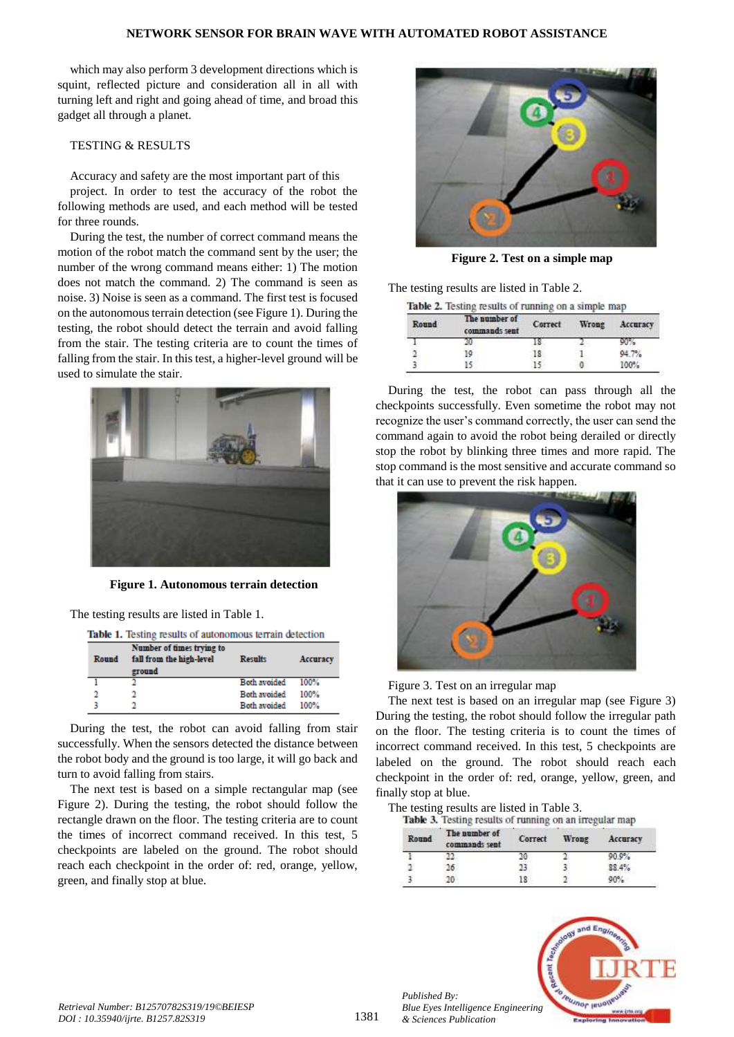#### **NETWORK SENSOR FOR BRAIN WAVE WITH AUTOMATED ROBOT ASSISTANCE**

which may also perform 3 development directions which is squint, reflected picture and consideration all in all with turning left and right and going ahead of time, and broad this gadget all through a planet.

# TESTING & RESULTS

Accuracy and safety are the most important part of this

project. In order to test the accuracy of the robot the following methods are used, and each method will be tested for three rounds.

During the test, the number of correct command means the motion of the robot match the command sent by the user; the number of the wrong command means either: 1) The motion does not match the command. 2) The command is seen as noise. 3) Noise is seen as a command. The first test is focused on the autonomous terrain detection (see Figure 1). During the testing, the robot should detect the terrain and avoid falling from the stair. The testing criteria are to count the times of falling from the stair. In this test, a higher-level ground will be used to simulate the stair.



**Figure 1. Autonomous terrain detection**

The testing results are listed in Table 1.

Table 1. Testing results of autonomous terrain detection

| Round                 | Number of times trying to<br>fall from the high-level<br>ground | <b>Results</b>      | Accuracy |
|-----------------------|-----------------------------------------------------------------|---------------------|----------|
|                       | n                                                               | <b>Both avoided</b> | $100\%$  |
| $\mathbf{\mathbf{a}}$ |                                                                 | Both avoided        | 100%     |
|                       |                                                                 | <b>Both avoided</b> | 100%     |

During the test, the robot can avoid falling from stair successfully. When the sensors detected the distance between the robot body and the ground is too large, it will go back and turn to avoid falling from stairs.

The next test is based on a simple rectangular map (see Figure 2). During the testing, the robot should follow the rectangle drawn on the floor. The testing criteria are to count the times of incorrect command received. In this test, 5 checkpoints are labeled on the ground. The robot should reach each checkpoint in the order of: red, orange, yellow, green, and finally stop at blue.



**Figure 2. Test on a simple map**

The testing results are listed in Table 2.

Table 2. Testing results of running on a simple map

| Round | The number of<br>commands sent | Correct | Wrong | Accuracy |
|-------|--------------------------------|---------|-------|----------|
|       |                                |         |       |          |
|       | 10                             | 18      |       | 94.7%    |
|       |                                |         |       | 100%     |

During the test, the robot can pass through all the checkpoints successfully. Even sometime the robot may not recognize the user's command correctly, the user can send the command again to avoid the robot being derailed or directly stop the robot by blinking three times and more rapid. The stop command is the most sensitive and accurate command so that it can use to prevent the risk happen.



Figure 3. Test on an irregular map

The next test is based on an irregular map (see Figure 3) During the testing, the robot should follow the irregular path on the floor. The testing criteria is to count the times of incorrect command received. In this test, 5 checkpoints are labeled on the ground. The robot should reach each checkpoint in the order of: red, orange, yellow, green, and finally stop at blue.

The testing results are listed in Table 3.<br>Table 3. Testine results of running on an irregular map

| Round | The number of<br>commands sent | Correct | Wrong | Accuracy |
|-------|--------------------------------|---------|-------|----------|
|       |                                |         |       | 90.0%    |
|       |                                | 73      |       | 88.4%    |
|       |                                | 18      |       | 90%      |
|       |                                |         |       |          |



*Published By:*

*& Sciences Publication*